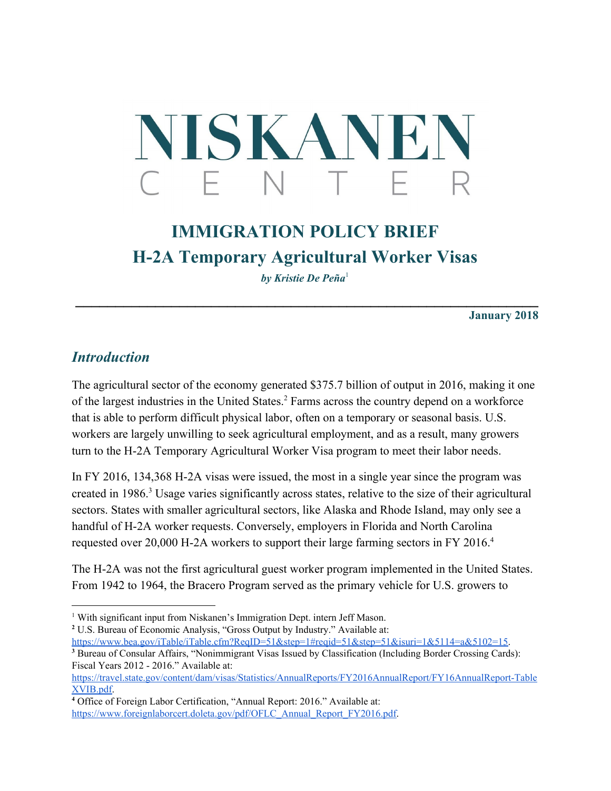# NISKANEN C F N  $\top$

# **IMMIGRATION POLICY BRIEF H-2A Temporary Agricultural Worker Visas**

*by Kristie De Peña* 1

**\_\_\_\_\_\_\_\_\_\_\_\_\_\_\_\_\_\_\_\_\_\_\_\_\_\_\_\_\_\_\_\_\_\_\_\_\_\_\_\_\_\_\_\_\_\_\_\_\_\_\_\_\_\_\_\_\_\_**

**January 2018**

#### *Introduction*

The agricultural sector of the economy generated \$375.7 billion of output in 2016, making it one of the largest industries in the United States.<sup>2</sup> Farms across the country depend on a workforce that is able to perform difficult physical labor, often on a temporary or seasonal basis. U.S. workers are largely unwilling to seek agricultural employment, and as a result, many growers turn to the H-2A Temporary Agricultural Worker Visa program to meet their labor needs.

In FY 2016, 134,368 H-2A visas were issued, the most in a single year since the program was created in 1986.<sup>3</sup> Usage varies significantly across states, relative to the size of their agricultural sectors. States with smaller agricultural sectors, like Alaska and Rhode Island, may only see a handful of H-2A worker requests. Conversely, employers in Florida and North Carolina requested over 20,000 H-2A workers to support their large farming sectors in FY 2016.<sup>4</sup>

The H-2A was not the first agricultural guest worker program implemented in the United States. From 1942 to 1964, the Bracero Program served as the primary vehicle for U.S. growers to

<https://www.bea.gov/iTable/iTable.cfm?ReqID=51&step=1#reqid=51&step=51&isuri=1&5114=a&5102=15>.

<sup>&</sup>lt;sup>1</sup> With significant input from Niskanen's Immigration Dept. intern Jeff Mason.

<sup>&</sup>lt;sup>2</sup> U.S. Bureau of Economic Analysis, "Gross Output by Industry." Available at:

<sup>&</sup>lt;sup>3</sup> Bureau of Consular Affairs, "Nonimmigrant Visas Issued by Classification (Including Border Crossing Cards): Fiscal Years 2012 - 2016." Available at:

[https://travel.state.gov/content/dam/visas/Statistics/AnnualReports/FY2016AnnualReport/FY16AnnualReport-Table](https://travel.state.gov/content/dam/visas/Statistics/AnnualReports/FY2016AnnualReport/FY16AnnualReport-TableXVIB.pdf) [XVIB.pdf](https://travel.state.gov/content/dam/visas/Statistics/AnnualReports/FY2016AnnualReport/FY16AnnualReport-TableXVIB.pdf).

**<sup>4</sup>** Office of Foreign Labor Certification, "Annual Report: 2016." Available at: [https://www.foreignlaborcert.doleta.gov/pdf/OFLC\\_Annual\\_Report\\_FY2016.pdf.](https://www.foreignlaborcert.doleta.gov/pdf/OFLC_Annual_Report_FY2016.pdf)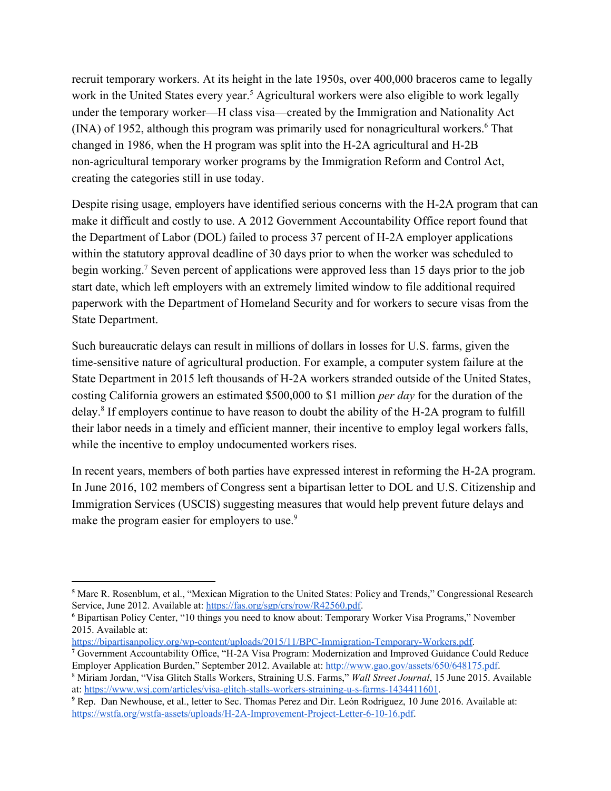recruit temporary workers. At its height in the late 1950s, over 400,000 braceros came to legally work in the United States every year.<sup>5</sup> Agricultural workers were also eligible to work legally under the temporary worker—H class visa—created by the Immigration and Nationality Act (INA) of 1952, although this program was primarily used for nonagricultural workers.<sup>6</sup> That changed in 1986, when the H program was split into the H-2A agricultural and H-2B non-agricultural temporary worker programs by the Immigration Reform and Control Act, creating the categories still in use today.

Despite rising usage, employers have identified serious concerns with the H-2A program that can make it difficult and costly to use. A 2012 Government Accountability Office report found that the Department of Labor (DOL) failed to process 37 percent of H-2A employer applications within the statutory approval deadline of 30 days prior to when the worker was scheduled to begin working.<sup>7</sup> Seven percent of applications were approved less than 15 days prior to the job start date, which left employers with an extremely limited window to file additional required paperwork with the Department of Homeland Security and for workers to secure visas from the State Department.

Such bureaucratic delays can result in millions of dollars in losses for U.S. farms, given the time-sensitive nature of agricultural production. For example, a computer system failure at the State Department in 2015 left thousands of H-2A workers stranded outside of the United States, costing California growers an estimated \$500,000 to \$1 million *per day* for the duration of the delay.<sup>8</sup> If employers continue to have reason to doubt the ability of the H-2A program to fulfill their labor needs in a timely and efficient manner, their incentive to employ legal workers falls, while the incentive to employ undocumented workers rises.

In recent years, members of both parties have expressed interest in reforming the H-2A program. In June 2016, 102 members of Congress sent a bipartisan letter to DOL and U.S. Citizenship and Immigration Services (USCIS) suggesting measures that would help prevent future delays and make the program easier for employers to use.<sup>9</sup>

**<sup>5</sup>** Marc R. Rosenblum, et al., "Mexican Migration to the United States: Policy and Trends," Congressional Research Service, June 2012. Available at: [https://fas.org/sgp/crs/row/R42560.pdf.](https://fas.org/sgp/crs/row/R42560.pdf)

**<sup>6</sup>** Bipartisan Policy Center, "10 things you need to know about: Temporary Worker Visa Programs," November 2015. Available at:

<https://bipartisanpolicy.org/wp-content/uploads/2015/11/BPC-Immigration-Temporary-Workers.pdf>.

**<sup>7</sup>** Government Accountability Office, "H-2A Visa Program: Modernization and Improved Guidance Could Reduce Employer Application Burden," September 2012. Available at: [http://www.gao.gov/assets/650/648175.pdf.](http://www.gao.gov/assets/650/648175.pdf)

<sup>8</sup> Miriam Jordan, "Visa Glitch Stalls Workers, Straining U.S. Farms," *Wall Street Journal*, 15 June 2015. Available at: [https://www.wsj.com/articles/visa-glitch-stalls-workers-straining-u-s-farms-1434411601.](https://www.wsj.com/articles/visa-glitch-stalls-workers-straining-u-s-farms-1434411601)

<sup>&</sup>lt;sup>9</sup> Rep. Dan Newhouse, et al., letter to Sec. Thomas Perez and Dir. León Rodriguez, 10 June 2016. Available at: [https://wstfa.org/wstfa-assets/uploads/H-2A-Improvement-Project-Letter-6-10-16.pdf.](https://wstfa.org/wstfa-assets/uploads/H-2A-Improvement-Project-Letter-6-10-16.pdf)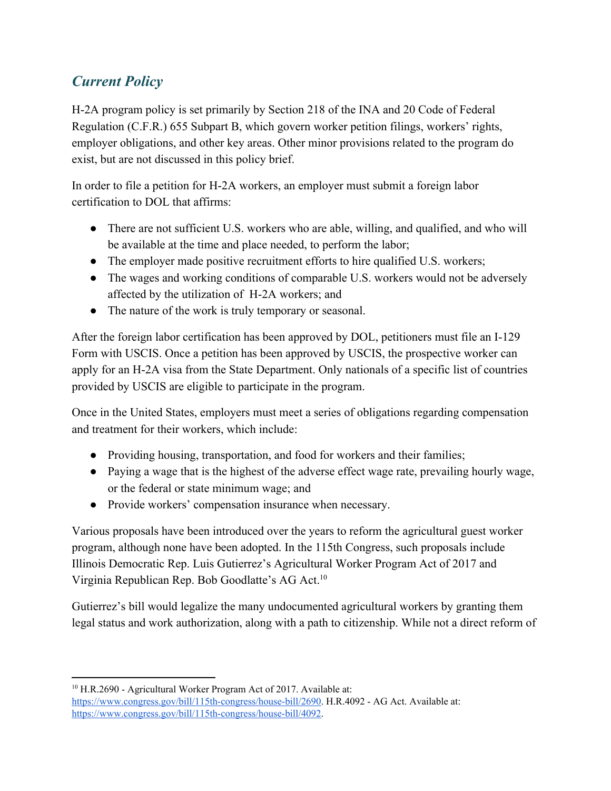## *Current Policy*

H-2A program policy is set primarily by Section 218 of the INA and 20 Code of Federal Regulation (C.F.R.) 655 Subpart B, which govern worker petition filings, workers' rights, employer obligations, and other key areas. Other minor provisions related to the program do exist, but are not discussed in this policy brief.

In order to file a petition for H-2A workers, an employer must submit a foreign labor certification to DOL that affirms:

- There are not sufficient U.S. workers who are able, willing, and qualified, and who will be available at the time and place needed, to perform the labor;
- The employer made positive recruitment efforts to hire qualified U.S. workers;
- The wages and working conditions of comparable U.S. workers would not be adversely affected by the utilization of H-2A workers; and
- The nature of the work is truly temporary or seasonal.

After the foreign labor certification has been approved by DOL, petitioners must file an I-129 Form with USCIS. Once a petition has been approved by USCIS, the prospective worker can apply for an H-2A visa from the State Department. Only nationals of a specific list of countries provided by USCIS are eligible to participate in the program.

Once in the United States, employers must meet a series of obligations regarding compensation and treatment for their workers, which include:

- Providing housing, transportation, and food for workers and their families;
- Paying a wage that is the highest of the adverse effect wage rate, prevailing hourly wage, or the federal or state minimum wage; and
- Provide workers' compensation insurance when necessary.

Various proposals have been introduced over the years to reform the agricultural guest worker program, although none have been adopted. In the 115th Congress, such proposals include Illinois Democratic Rep. Luis Gutierrez's Agricultural Worker Program Act of 2017 and Virginia Republican Rep. Bob Goodlatte's AG Act.<sup>10</sup>

Gutierrez's bill would legalize the many undocumented agricultural workers by granting them legal status and work authorization, along with a path to citizenship. While not a direct reform of

<sup>10</sup> H.R.2690 - Agricultural Worker Program Act of 2017. Available at: [https://www.congress.gov/bill/115th-congress/house-bill/2690.](https://www.congress.gov/bill/115th-congress/house-bill/2690) H.R.4092 - AG Act. Available at: [https://www.congress.gov/bill/115th-congress/house-bill/4092.](https://www.congress.gov/bill/115th-congress/house-bill/4092)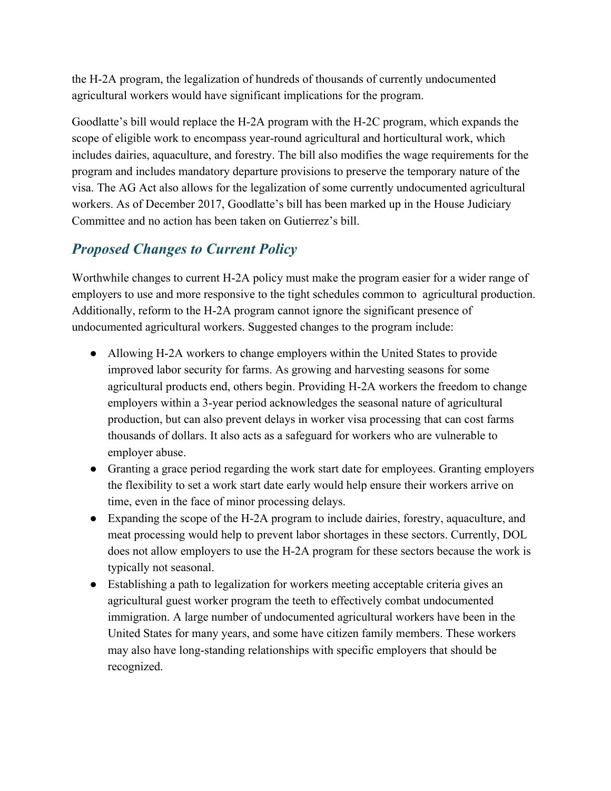the H-2A program, the legalization of hundreds of thousands of currently undocumented agricultural workers would have significant implications for the program.

Goodlatte's bill would replace the H-2A program with the H-2C program, which expands the scope of eligible work to encompass year-round agricultural and horticultural work, which includes dairies, aquaculture, and forestry. The bill also modifies the wage requirements for the program and includes mandatory departure provisions to preserve the temporary nature of the visa. The AG Act also allows for the legalization of some currently undocumented agricultural workers. As of December 2017, Goodlatte's bill has been marked up in the House Judiciary Committee and no action has been taken on Gutierrez's bill.

### *Proposed Changes to Current Policy*

Worthwhile changes to current H-2A policy must make the program easier for a wider range of employers to use and more responsive to the tight schedules common to agricultural production. Additionally, reform to the H-2A program cannot ignore the significant presence of undocumented agricultural workers. Suggested changes to the program include:

- Allowing H-2A workers to change employers within the United States to provide improved labor security for farms. As growing and harvesting seasons for some agricultural products end, others begin. Providing H-2A workers the freedom to change employers within a 3-year period acknowledges the seasonal nature of agricultural production, but can also prevent delays in worker visa processing that can cost farms thousands of dollars. It also acts as a safeguard for workers who are vulnerable to employer abuse.
- Granting a grace period regarding the work start date for employees. Granting employers the flexibility to set a work start date early would help ensure their workers arrive on time, even in the face of minor processing delays.
- Expanding the scope of the H-2A program to include dairies, forestry, aquaculture, and meat processing would help to prevent labor shortages in these sectors. Currently, DOL does not allow employers to use the H-2A program for these sectors because the work is typically not seasonal.
- Establishing a path to legalization for workers meeting acceptable criteria gives an agricultural guest worker program the teeth to effectively combat undocumented immigration. A large number of undocumented agricultural workers have been in the United States for many years, and some have citizen family members. These workers may also have long-standing relationships with specific employers that should be recognized.